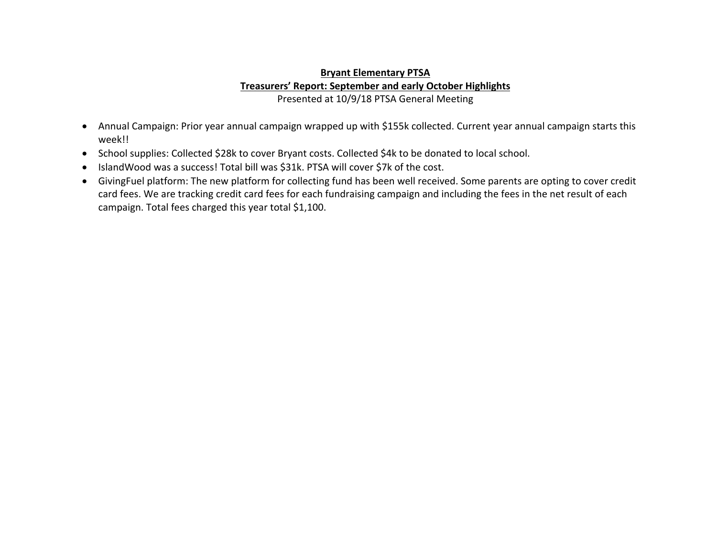## **Bryant Elementary PTSA Treasurers' Report: September and early October Highlights** Presented at 10/9/18 PTSA General Meeting

- Annual Campaign: Prior year annual campaign wrapped up with \$155k collected. Current year annual campaign starts this week!!
- School supplies: Collected \$28k to cover Bryant costs. Collected \$4k to be donated to local school.
- IslandWood was a success! Total bill was \$31k. PTSA will cover \$7k of the cost.
- GivingFuel platform: The new platform for collecting fund has been well received. Some parents are opting to cover credit card fees. We are tracking credit card fees for each fundraising campaign and including the fees in the net result of each campaign. Total fees charged this year total \$1,100.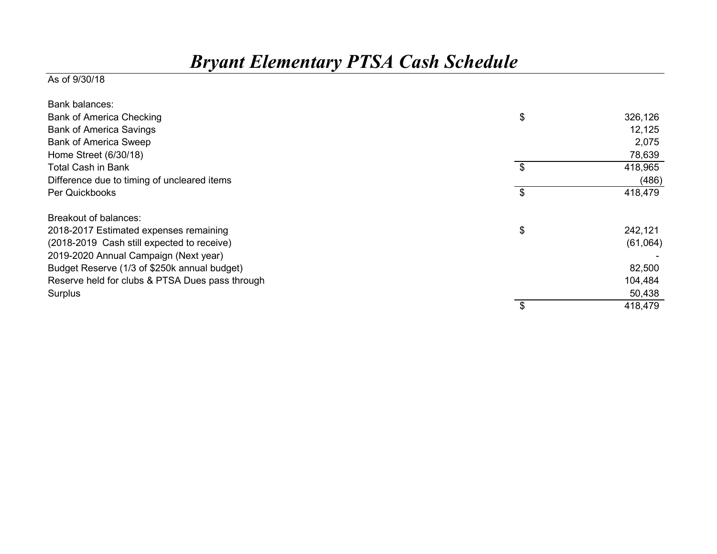## *Bryant Elementary PTSA Cash Schedule*

## As of 9/30/18

| Bank balances:                                  |               |
|-------------------------------------------------|---------------|
| <b>Bank of America Checking</b>                 | \$<br>326,126 |
| <b>Bank of America Savings</b>                  | 12,125        |
| <b>Bank of America Sweep</b>                    | 2,075         |
| Home Street (6/30/18)                           | 78,639        |
| <b>Total Cash in Bank</b>                       | \$<br>418,965 |
| Difference due to timing of uncleared items     | (486)         |
| Per Quickbooks                                  | \$<br>418,479 |
| Breakout of balances:                           |               |
| 2018-2017 Estimated expenses remaining          | \$<br>242,121 |
| (2018-2019 Cash still expected to receive)      | (61,064)      |
| 2019-2020 Annual Campaign (Next year)           |               |
| Budget Reserve (1/3 of \$250k annual budget)    | 82,500        |
| Reserve held for clubs & PTSA Dues pass through | 104,484       |
| Surplus                                         | 50,438        |
|                                                 | \$<br>418,479 |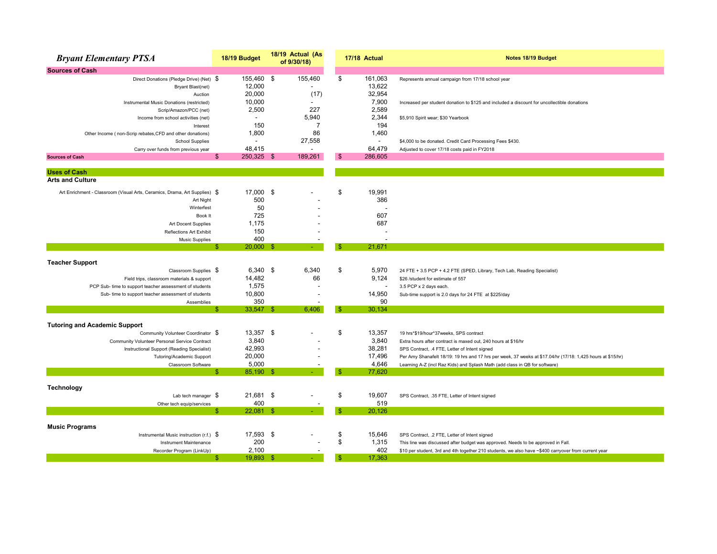| <b>Bryant Elementary PTSA</b>                                              | 18/19 Budget             | 18/19 Actual (As<br>of 9/30/18) |               | 17/18 Actual   | Notes 18/19 Budget                                                                                          |
|----------------------------------------------------------------------------|--------------------------|---------------------------------|---------------|----------------|-------------------------------------------------------------------------------------------------------------|
| <b>Sources of Cash</b>                                                     |                          |                                 |               |                |                                                                                                             |
| Direct Donations (Pledge Drive) (Net) \$                                   | 155,460 \$               | 155,460                         | \$            | 161,063        | Represents annual campaign from 17/18 school year                                                           |
| <b>Bryant Blast(net)</b>                                                   | 12,000                   |                                 |               | 13,622         |                                                                                                             |
| Auction                                                                    | 20,000                   | (17)                            |               | 32,954         |                                                                                                             |
| Instrumental Music Donations (restricted)                                  | 10,000                   |                                 |               | 7,900          | Increased per student donation to \$125 and included a discount for uncollectible donations                 |
| Scrip/Amazon/PCC (net)                                                     | 2,500                    | 227                             |               | 2,589          |                                                                                                             |
| Income from school activities (net)                                        | $\overline{\phantom{a}}$ | 5,940                           |               | 2,344          | \$5,910 Spirit wear; \$30 Yearbook                                                                          |
| Interest                                                                   | 150                      | 7                               |               | 194            |                                                                                                             |
| Other Income (non-Scrip rebates, CFD and other donations)                  | 1,800                    | 86                              |               | 1,460          |                                                                                                             |
| <b>School Supplies</b>                                                     | $\overline{\phantom{a}}$ | 27,558                          |               | $\overline{a}$ | \$4,000 to be donated. Credit Card Processing Fees \$430.                                                   |
| Carry over funds from previous year                                        | 48,415                   |                                 |               | 64,479         | Adjusted to cover 17/18 costs paid in FY2018                                                                |
| <b>Sources of Cash</b>                                                     | 250,325 \$<br>\$         | 189,261                         | -96           | 286,605        |                                                                                                             |
| <b>Uses of Cash</b>                                                        |                          |                                 |               |                |                                                                                                             |
| <b>Arts and Culture</b>                                                    |                          |                                 |               |                |                                                                                                             |
|                                                                            |                          |                                 |               |                |                                                                                                             |
| Art Enrichment - Classroom (Visual Arts, Ceramics, Drama, Art Supplies) \$ | 17,000 \$                |                                 | \$            | 19,991         |                                                                                                             |
| <b>Art Night</b>                                                           | 500                      |                                 |               | 386            |                                                                                                             |
| Winterfest                                                                 | 50                       |                                 |               |                |                                                                                                             |
| Book It                                                                    | 725                      |                                 |               | 607            |                                                                                                             |
| Art Docent Supplies                                                        | 1,175                    |                                 |               | 687            |                                                                                                             |
| <b>Reflections Art Exhibit</b>                                             | 150                      |                                 |               |                |                                                                                                             |
| <b>Music Supplies</b>                                                      | 400                      |                                 |               |                |                                                                                                             |
|                                                                            | $20,000$ \$<br>-S        |                                 | 9             | 21,671         |                                                                                                             |
|                                                                            |                          |                                 |               |                |                                                                                                             |
| <b>Teacher Support</b>                                                     |                          |                                 |               |                |                                                                                                             |
| Classroom Supplies \$                                                      | $6,340$ \$               | 6,340                           | \$            | 5,970          | 24 FTE + 3.5 PCP + 4.2 FTE (SPED, Library, Tech Lab, Reading Specialist)                                    |
| Field trips, classroom materials & support                                 | 14,482                   | 66                              |               | 9,124          | \$26 /student for estimate of 557                                                                           |
| PCP Sub- time to support teacher assessment of students                    | 1,575                    |                                 |               |                | 3.5 PCP x 2 days each.                                                                                      |
| Sub- time to support teacher assessment of students                        | 10,800<br>350            |                                 |               | 14,950<br>90   | Sub-time support is 2.0 days for 24 FTE at \$225/day                                                        |
| Assemblies                                                                 | \$.<br>$33,547$ \$       | 6,406                           | -\$           | 30,134         |                                                                                                             |
|                                                                            |                          |                                 |               |                |                                                                                                             |
| <b>Tutoring and Academic Support</b>                                       |                          |                                 |               |                |                                                                                                             |
| Community Volunteer Coordinator \$                                         | 13,357 \$                |                                 | \$            | 13,357         | 19 hrs*\$19/hour*37weeks, SPS contract                                                                      |
| Community Volunteer Personal Service Contract                              | 3,840                    |                                 |               | 3,840          | Extra hours after contract is maxed out, 240 hours at \$16/hr                                               |
| Instructional Support (Reading Specialist)                                 | 42,993                   |                                 |               | 38,281         | SPS Contract, .4 FTE, Letter of Intent signed                                                               |
| Tutoring/Academic Support                                                  | 20,000                   |                                 |               | 17,496         | Per Amy Shanafelt 18/19: 19 hrs and 17 hrs per week, 37 weeks at \$17.04/hr (17/18: 1,425 hours at \$15/hr) |
| Classroom Software                                                         | 5,000                    |                                 |               | 4,646          | Learning A-Z (incl Raz Kids) and Splash Math (add class in QB for software)                                 |
|                                                                            | 85,190 \$<br>Я           |                                 | Я             | 77,620         |                                                                                                             |
|                                                                            |                          |                                 |               |                |                                                                                                             |
| Technology                                                                 |                          |                                 |               |                |                                                                                                             |
| Lab tech manager $$$                                                       | 21,681 \$                |                                 | \$            | 19,607         | SPS Contract, .35 FTE, Letter of Intent signed                                                              |
| Other tech equip/services                                                  | 400                      |                                 |               | 519            |                                                                                                             |
|                                                                            | $22,081$ \$<br>-S        |                                 | $\mathbb{S}$  | 20,126         |                                                                                                             |
|                                                                            |                          |                                 |               |                |                                                                                                             |
| <b>Music Programs</b>                                                      |                          |                                 |               |                |                                                                                                             |
| Instrumental Music instruction (r.f.) \$                                   | 17,593 \$                |                                 | \$            | 15,646         | SPS Contract, .2 FTE, Letter of Intent signed                                                               |
| <b>Instrument Maintenance</b>                                              | 200                      |                                 | \$            | 1,315          | This line was discussed after budget was approved. Needs to be approved in Fall                             |
| Recorder Program (LinkUp)                                                  | 2,100                    |                                 |               | 402            | \$10 per student, 3rd and 4th together 210 students, we also have ~\$400 carryover from current year        |
|                                                                            | 19,893 \$<br>\$.         | $\sim$                          | $\mathbf{\$}$ | 17,363         |                                                                                                             |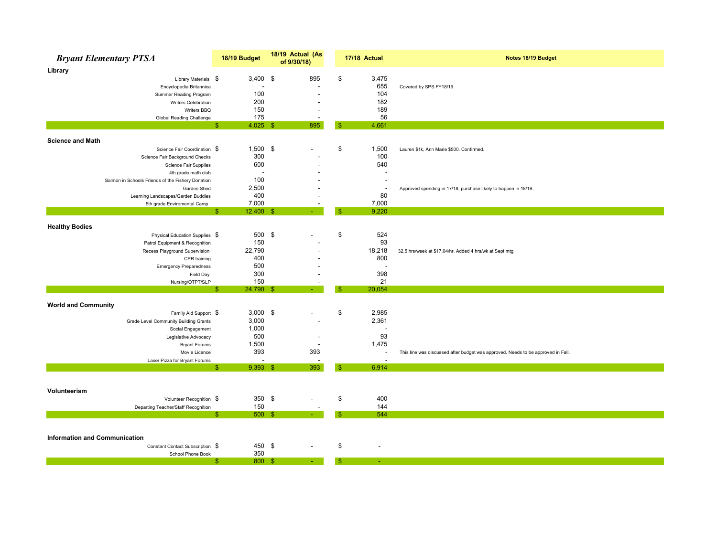| <b>Bryant Elementary PTSA</b>                     | 18/19 Budget            | 18/19 Actual (As<br>of 9/30/18) | 17/18 Actual             | Notes 18/19 Budget                                                               |
|---------------------------------------------------|-------------------------|---------------------------------|--------------------------|----------------------------------------------------------------------------------|
| Library                                           |                         |                                 |                          |                                                                                  |
| Library Materials \$                              | $3,400$ \$              | 895                             | \$<br>3,475              |                                                                                  |
| Encyclopedia Britannica                           |                         |                                 | 655                      | Covered by SPS FY18/19                                                           |
| Summer Reading Program                            | 100                     |                                 | 104                      |                                                                                  |
| Writers Celebration                               | 200                     |                                 | 182                      |                                                                                  |
| Writers BBQ                                       | 150                     |                                 | 189                      |                                                                                  |
| Global Reading Challenge                          | 175<br>$4,025$ \$<br>£. | 895                             | 56<br>4,661<br>-SS       |                                                                                  |
|                                                   |                         |                                 |                          |                                                                                  |
| <b>Science and Math</b>                           |                         |                                 |                          |                                                                                  |
| Science Fair Coordination \$                      | $1,500$ \$              |                                 | \$<br>1,500              | Lauren \$1k, Ann Marie \$500. Confirmed.                                         |
| Science Fair Background Checks                    | 300                     |                                 | 100                      |                                                                                  |
| Science Fair Supplies                             | 600                     |                                 | 540                      |                                                                                  |
| 4th grade math club                               |                         |                                 |                          |                                                                                  |
| Salmon in Schools Friends of the Fishery Donation | 100                     |                                 |                          |                                                                                  |
| Garden Shed                                       | 2,500                   |                                 | $\overline{\phantom{a}}$ | Approved spending in 17/18, purchase likely to happen in 18/19.                  |
| Learning Landscapes/Garden Buddies                | 400                     |                                 | 80                       |                                                                                  |
| 5th grade Enviromental Camp                       | 7,000                   |                                 | 7,000                    |                                                                                  |
|                                                   | $12,400$ \$<br>£.       |                                 | 9,220                    |                                                                                  |
| <b>Healthy Bodies</b>                             |                         |                                 |                          |                                                                                  |
| Physical Education Supplies \$                    | 500 \$                  |                                 | \$<br>524                |                                                                                  |
| Patrol Equipment & Recognition                    | 150                     |                                 | 93                       |                                                                                  |
| Recess Playground Supervision                     | 22,790                  |                                 | 18,218                   | 32.5 hrs/week at \$17.04/hr. Added 4 hrs/wk at Sept mtg                          |
| CPR training                                      | 400                     |                                 | 800                      |                                                                                  |
| <b>Emergency Preparedness</b>                     | 500                     |                                 | $\overline{\phantom{a}}$ |                                                                                  |
| Field Day                                         | 300                     |                                 | 398                      |                                                                                  |
| Nursing/OTPT/SLP                                  | 150                     |                                 | 21                       |                                                                                  |
|                                                   | -S<br>24,790 \$         |                                 | \$<br>20,054             |                                                                                  |
| <b>World and Community</b>                        |                         |                                 |                          |                                                                                  |
| Family Aid Support \$                             | $3,000$ \$              |                                 | \$<br>2,985              |                                                                                  |
| Grade Level Community Building Grants             | 3,000                   |                                 | 2,361                    |                                                                                  |
| Social Engagement                                 | 1,000                   |                                 | $\overline{\phantom{a}}$ |                                                                                  |
| Legislative Advocacy                              | 500                     |                                 | 93                       |                                                                                  |
| <b>Bryant Forums</b>                              | 1,500                   | $\overline{\phantom{a}}$        | 1,475                    |                                                                                  |
| Movie Licence                                     | 393                     | 393                             | $\overline{\phantom{a}}$ | This line was discussed after budget was approved. Needs to be approved in Fall. |
| Laser Pizza for Bryant Forums                     |                         |                                 |                          |                                                                                  |
|                                                   | $9,393$ \$<br>-S        | 393                             | 6,914<br>-S              |                                                                                  |
|                                                   |                         |                                 |                          |                                                                                  |
| Volunteerism                                      |                         |                                 |                          |                                                                                  |
| Volunteer Recognition \$                          | 350 $$$                 |                                 | \$<br>400                |                                                                                  |
| Departing Teacher/Staff Recognition               | 150                     |                                 | 144                      |                                                                                  |
|                                                   | $500$ \$<br>-S          |                                 | 544                      |                                                                                  |
|                                                   |                         |                                 |                          |                                                                                  |
| <b>Information and Communication</b>              |                         |                                 |                          |                                                                                  |
| Constant Contact Subscription \$                  | 450 \$                  |                                 | \$                       |                                                                                  |
| School Phone Book                                 | 350                     |                                 |                          |                                                                                  |
|                                                   | 800 \$<br>-S            |                                 | -S                       |                                                                                  |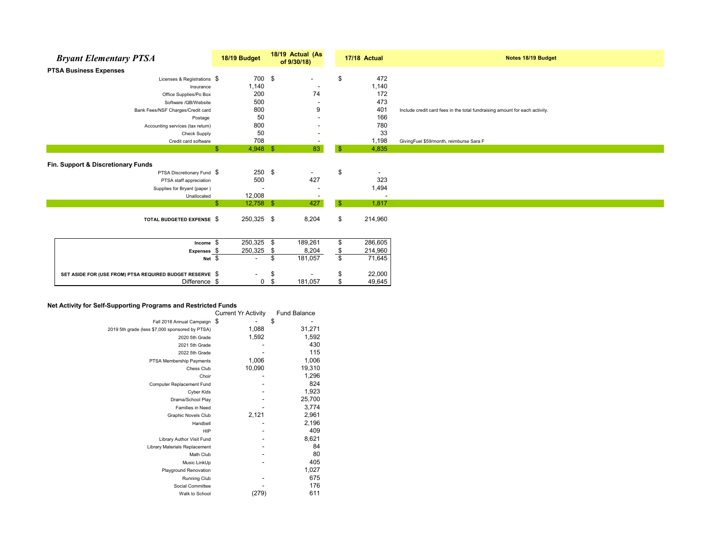| <b>Bryant Elementary PTSA</b>                                    | 18/19 Budget             | 18/19 Actual (As<br>of 9/30/18) |               | 17/18 Actual                      | Notes 18/19 Budget                                                          |
|------------------------------------------------------------------|--------------------------|---------------------------------|---------------|-----------------------------------|-----------------------------------------------------------------------------|
| <b>PTSA Business Expenses</b>                                    |                          |                                 |               |                                   |                                                                             |
| Licenses & Registrations \$                                      | 700 \$                   |                                 | \$            | 472                               |                                                                             |
| Insurance                                                        | 1,140                    |                                 |               | 1,140                             |                                                                             |
| Office Supplies/Po Box                                           | 200                      | 74                              |               | 172                               |                                                                             |
| Software /QB/Website                                             | 500                      |                                 |               | 473                               |                                                                             |
| Bank Fees/NSF Charges/Credit card                                | 800                      | 9                               |               | 401                               | Include credit card fees in the total fundraising amount for each activity. |
| Postage                                                          | 50                       |                                 |               | 166                               |                                                                             |
| Accounting services (tax return)                                 | 800                      |                                 |               | 780                               |                                                                             |
| <b>Check Supply</b>                                              | 50                       |                                 |               | 33                                |                                                                             |
| Credit card software                                             | 708                      |                                 |               | 1,198                             | GivingFuel \$59/month, reimburse Sara F                                     |
|                                                                  | $4,948$ \$<br>\$         | 83                              | $\frac{1}{2}$ | 4,835                             |                                                                             |
|                                                                  |                          |                                 |               |                                   |                                                                             |
| Fin. Support & Discretionary Funds<br>PTSA Discretionary Fund \$ | $250$ \$                 |                                 | \$            |                                   |                                                                             |
|                                                                  | 500                      | 427                             |               | $\overline{\phantom{a}}$<br>323   |                                                                             |
| PTSA staff appreciation                                          |                          |                                 |               | 1,494                             |                                                                             |
| Supplies for Bryant (paper)                                      | 12,008                   |                                 |               |                                   |                                                                             |
| Unallocated                                                      | $12,758$ \$<br>\$        | 427                             | $\mathbf{\$}$ | $\overline{\phantom{a}}$<br>1,817 |                                                                             |
|                                                                  |                          |                                 |               |                                   |                                                                             |
| TOTAL BUDGETED EXPENSE \$                                        | 250,325 \$               | 8,204                           | \$            | 214,960                           |                                                                             |
|                                                                  |                          |                                 |               |                                   |                                                                             |
|                                                                  |                          |                                 |               |                                   |                                                                             |
| Income \$                                                        | 250,325 \$               | 189,261                         |               | 286,605                           |                                                                             |
| Expenses \$                                                      | 250,325                  | 8,204<br>- \$                   | -\$           | 214,960                           |                                                                             |
| Net $$$                                                          | $\overline{\phantom{a}}$ | 181,057<br>\$                   | $\mathfrak s$ | 71,645                            |                                                                             |
|                                                                  |                          |                                 |               |                                   |                                                                             |

22,000<br>49,645

| SET ASIDE FOR (USE FROM) PTSA REQUIRED BUDGET RESERVE \$<br>Difference |  |  | -<br>181.05 | 000<br>49.645 |
|------------------------------------------------------------------------|--|--|-------------|---------------|
|                                                                        |  |  |             |               |

## **Net Activity for Self-Supporting Programs and Restricted Funds**

|                                                 | <b>Current Yr Activity</b> | <b>Fund Balance</b> |
|-------------------------------------------------|----------------------------|---------------------|
| Fall 2018 Annual Campaign                       | \$                         | \$                  |
| 2019 5th grade (less \$7,000 sponsored by PTSA) | 1,088                      | 31,271              |
| 2020 5th Grade                                  | 1,592                      | 1,592               |
| 2021 5th Grade                                  |                            | 430                 |
| 2022 5th Grade                                  |                            | 115                 |
| PTSA Membership Payments                        | 1,006                      | 1,006               |
| Chess Club                                      | 10,090                     | 19,310              |
| Choir                                           |                            | 1,296               |
| <b>Computer Replacement Fund</b>                |                            | 824                 |
| Cyber Kids                                      |                            | 1,923               |
| Drama/School Play                               |                            | 25,700              |
| <b>Families in Need</b>                         |                            | 3,774               |
| Graphic Novels Club                             | 2,121                      | 2,961               |
| Handbell                                        |                            | 2,196               |
| HIP                                             |                            | 409                 |
| Library Author Visit Fund                       |                            | 8,621               |
| Library Materials Replacement                   |                            | 84                  |
| Math Club                                       |                            | 80                  |
| Music LinkUp                                    |                            | 405                 |
| Playground Renovation                           |                            | 1,027               |
| <b>Running Club</b>                             |                            | 675                 |
| Social Committee                                |                            | 176                 |
| Walk to School                                  | (279)                      | 611                 |
|                                                 |                            |                     |